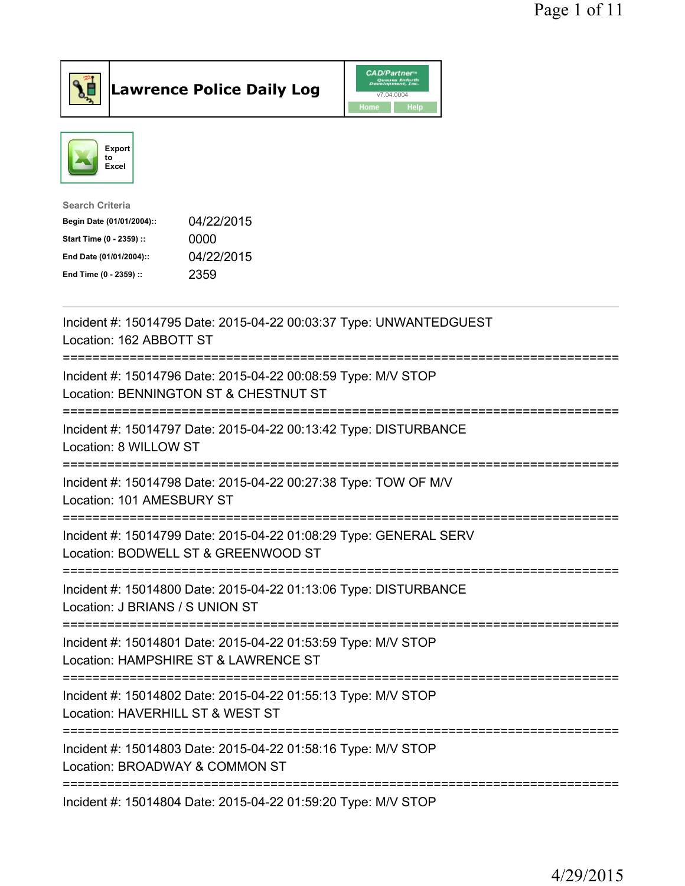

Lawrence Police Daily Log CAD/Partner



| <b>Search Criteria</b>    |            |
|---------------------------|------------|
| Begin Date (01/01/2004):: | 04/22/2015 |
| Start Time (0 - 2359) ::  | 0000       |
| End Date (01/01/2004)::   | 04/22/2015 |
| End Time (0 - 2359) ::    | 2359       |
|                           |            |

| Incident #: 15014795 Date: 2015-04-22 00:03:37 Type: UNWANTEDGUEST<br>Location: 162 ABBOTT ST<br>=================<br>================   |
|------------------------------------------------------------------------------------------------------------------------------------------|
| Incident #: 15014796 Date: 2015-04-22 00:08:59 Type: M/V STOP<br>Location: BENNINGTON ST & CHESTNUT ST                                   |
| Incident #: 15014797 Date: 2015-04-22 00:13:42 Type: DISTURBANCE<br>Location: 8 WILLOW ST                                                |
| Incident #: 15014798 Date: 2015-04-22 00:27:38 Type: TOW OF M/V<br>Location: 101 AMESBURY ST<br>----------------                         |
| Incident #: 15014799 Date: 2015-04-22 01:08:29 Type: GENERAL SERV<br>Location: BODWELL ST & GREENWOOD ST<br>============================ |
| Incident #: 15014800 Date: 2015-04-22 01:13:06 Type: DISTURBANCE<br>Location: J BRIANS / S UNION ST                                      |
| ==========================<br>Incident #: 15014801 Date: 2015-04-22 01:53:59 Type: M/V STOP<br>Location: HAMPSHIRE ST & LAWRENCE ST      |
| ________________________________<br>Incident #: 15014802 Date: 2015-04-22 01:55:13 Type: M/V STOP<br>Location: HAVERHILL ST & WEST ST    |
| Incident #: 15014803 Date: 2015-04-22 01:58:16 Type: M/V STOP<br>Location: BROADWAY & COMMON ST                                          |
| Incident #: 15014804 Date: 2015-04-22 01:59:20 Type: M/V STOP                                                                            |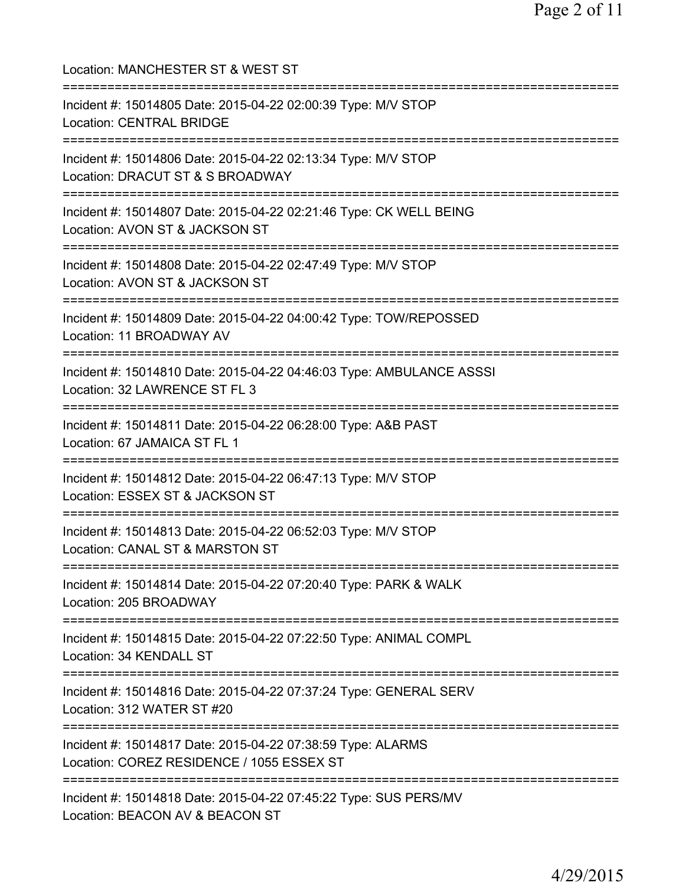| Location: MANCHESTER ST & WEST ST                                                                                                 |
|-----------------------------------------------------------------------------------------------------------------------------------|
| Incident #: 15014805 Date: 2015-04-22 02:00:39 Type: M/V STOP<br><b>Location: CENTRAL BRIDGE</b>                                  |
| Incident #: 15014806 Date: 2015-04-22 02:13:34 Type: M/V STOP<br>Location: DRACUT ST & S BROADWAY<br>;========================    |
| Incident #: 15014807 Date: 2015-04-22 02:21:46 Type: CK WELL BEING<br>Location: AVON ST & JACKSON ST                              |
| Incident #: 15014808 Date: 2015-04-22 02:47:49 Type: M/V STOP<br>Location: AVON ST & JACKSON ST                                   |
| .===============================<br>Incident #: 15014809 Date: 2015-04-22 04:00:42 Type: TOW/REPOSSED<br>Location: 11 BROADWAY AV |
| Incident #: 15014810 Date: 2015-04-22 04:46:03 Type: AMBULANCE ASSSI<br>Location: 32 LAWRENCE ST FL 3                             |
| =============================<br>Incident #: 15014811 Date: 2015-04-22 06:28:00 Type: A&B PAST<br>Location: 67 JAMAICA ST FL 1    |
| Incident #: 15014812 Date: 2015-04-22 06:47:13 Type: M/V STOP<br>Location: ESSEX ST & JACKSON ST                                  |
| Incident #: 15014813 Date: 2015-04-22 06:52:03 Type: M/V STOP<br>Location: CANAL ST & MARSTON ST                                  |
| Incident #: 15014814 Date: 2015-04-22 07:20:40 Type: PARK & WALK<br>Location: 205 BROADWAY                                        |
| Incident #: 15014815 Date: 2015-04-22 07:22:50 Type: ANIMAL COMPL<br>Location: 34 KENDALL ST                                      |
| Incident #: 15014816 Date: 2015-04-22 07:37:24 Type: GENERAL SERV<br>Location: 312 WATER ST #20                                   |
| Incident #: 15014817 Date: 2015-04-22 07:38:59 Type: ALARMS<br>Location: COREZ RESIDENCE / 1055 ESSEX ST                          |
| Incident #: 15014818 Date: 2015-04-22 07:45:22 Type: SUS PERS/MV<br>Location: BEACON AV & BEACON ST                               |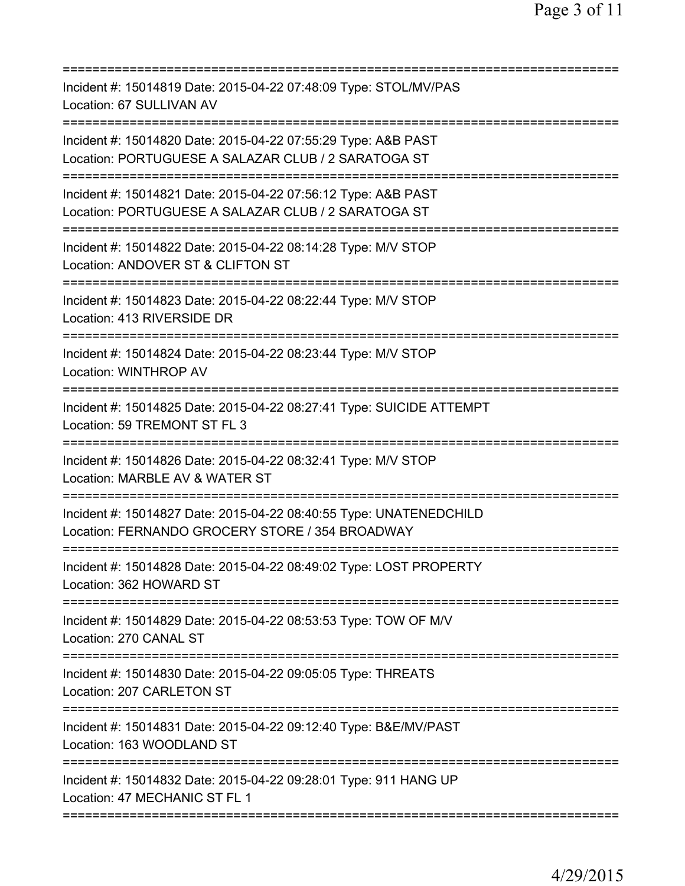| Incident #: 15014819 Date: 2015-04-22 07:48:09 Type: STOL/MV/PAS<br>Location: 67 SULLIVAN AV                                     |
|----------------------------------------------------------------------------------------------------------------------------------|
| Incident #: 15014820 Date: 2015-04-22 07:55:29 Type: A&B PAST<br>Location: PORTUGUESE A SALAZAR CLUB / 2 SARATOGA ST             |
| Incident #: 15014821 Date: 2015-04-22 07:56:12 Type: A&B PAST<br>Location: PORTUGUESE A SALAZAR CLUB / 2 SARATOGA ST             |
| Incident #: 15014822 Date: 2015-04-22 08:14:28 Type: M/V STOP<br>Location: ANDOVER ST & CLIFTON ST<br>.========================= |
| Incident #: 15014823 Date: 2015-04-22 08:22:44 Type: M/V STOP<br>Location: 413 RIVERSIDE DR                                      |
| Incident #: 15014824 Date: 2015-04-22 08:23:44 Type: M/V STOP<br><b>Location: WINTHROP AV</b>                                    |
| Incident #: 15014825 Date: 2015-04-22 08:27:41 Type: SUICIDE ATTEMPT<br>Location: 59 TREMONT ST FL 3                             |
| Incident #: 15014826 Date: 2015-04-22 08:32:41 Type: M/V STOP<br>Location: MARBLE AV & WATER ST                                  |
| Incident #: 15014827 Date: 2015-04-22 08:40:55 Type: UNATENEDCHILD<br>Location: FERNANDO GROCERY STORE / 354 BROADWAY            |
| Incident #: 15014828 Date: 2015-04-22 08:49:02 Type: LOST PROPERTY<br>Location: 362 HOWARD ST                                    |
| =======================<br>Incident #: 15014829 Date: 2015-04-22 08:53:53 Type: TOW OF M/V<br>Location: 270 CANAL ST             |
| Incident #: 15014830 Date: 2015-04-22 09:05:05 Type: THREATS<br>Location: 207 CARLETON ST                                        |
| Incident #: 15014831 Date: 2015-04-22 09:12:40 Type: B&E/MV/PAST<br>Location: 163 WOODLAND ST                                    |
| Incident #: 15014832 Date: 2015-04-22 09:28:01 Type: 911 HANG UP<br>Location: 47 MECHANIC ST FL 1                                |
|                                                                                                                                  |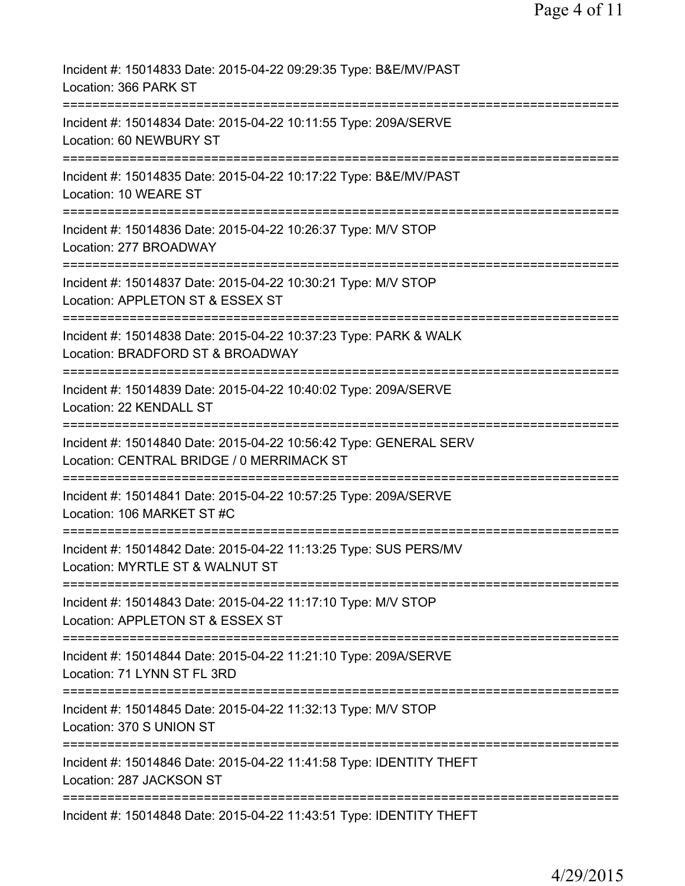| Incident #: 15014833 Date: 2015-04-22 09:29:35 Type: B&E/MV/PAST<br>Location: 366 PARK ST                                            |
|--------------------------------------------------------------------------------------------------------------------------------------|
| Incident #: 15014834 Date: 2015-04-22 10:11:55 Type: 209A/SERVE<br>Location: 60 NEWBURY ST                                           |
| Incident #: 15014835 Date: 2015-04-22 10:17:22 Type: B&E/MV/PAST<br>Location: 10 WEARE ST                                            |
| Incident #: 15014836 Date: 2015-04-22 10:26:37 Type: M/V STOP<br>Location: 277 BROADWAY                                              |
| Incident #: 15014837 Date: 2015-04-22 10:30:21 Type: M/V STOP<br>Location: APPLETON ST & ESSEX ST                                    |
| Incident #: 15014838 Date: 2015-04-22 10:37:23 Type: PARK & WALK<br>Location: BRADFORD ST & BROADWAY                                 |
| Incident #: 15014839 Date: 2015-04-22 10:40:02 Type: 209A/SERVE<br>Location: 22 KENDALL ST<br>==============                         |
| Incident #: 15014840 Date: 2015-04-22 10:56:42 Type: GENERAL SERV<br>Location: CENTRAL BRIDGE / 0 MERRIMACK ST                       |
| Incident #: 15014841 Date: 2015-04-22 10:57:25 Type: 209A/SERVE<br>Location: 106 MARKET ST #C                                        |
| Incident #: 15014842 Date: 2015-04-22 11:13:25 Type: SUS PERS/MV<br>Location: MYRTLE ST & WALNUT ST                                  |
| ===============================<br>Incident #: 15014843 Date: 2015-04-22 11:17:10 Type: M/V STOP<br>Location: APPLETON ST & ESSEX ST |
| ========================<br>Incident #: 15014844 Date: 2015-04-22 11:21:10 Type: 209A/SERVE<br>Location: 71 LYNN ST FL 3RD           |
| Incident #: 15014845 Date: 2015-04-22 11:32:13 Type: M/V STOP<br>Location: 370 S UNION ST                                            |
| Incident #: 15014846 Date: 2015-04-22 11:41:58 Type: IDENTITY THEFT<br>Location: 287 JACKSON ST                                      |
| Incident #: 15014848 Date: 2015-04-22 11:43:51 Type: IDENTITY THEFT                                                                  |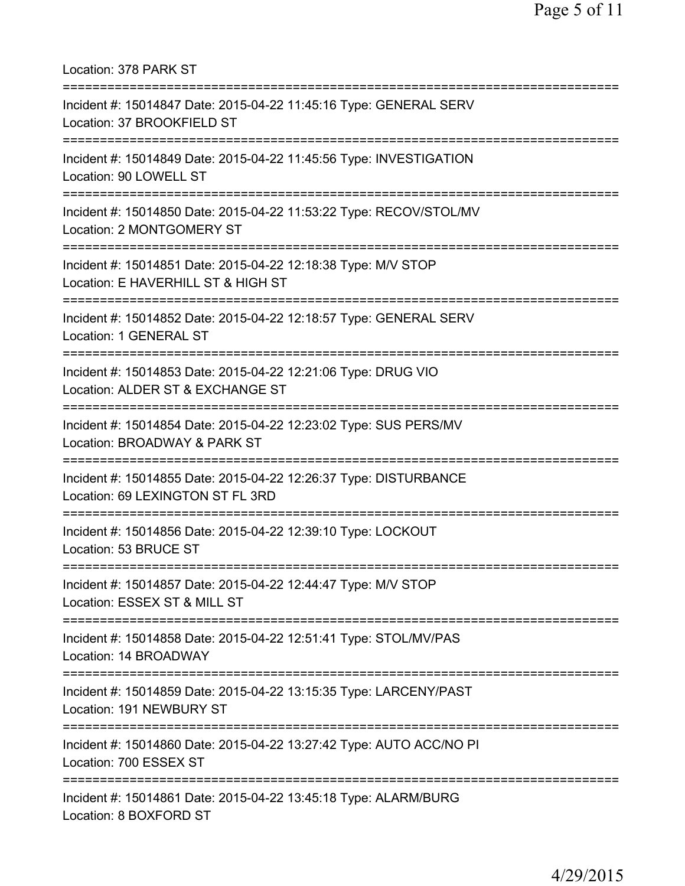Location: 378 PARK ST =========================================================================== Incident #: 15014847 Date: 2015-04-22 11:45:16 Type: GENERAL SERV Location: 37 BROOKFIELD ST =========================================================================== Incident #: 15014849 Date: 2015-04-22 11:45:56 Type: INVESTIGATION Location: 90 LOWELL ST =========================================================================== Incident #: 15014850 Date: 2015-04-22 11:53:22 Type: RECOV/STOL/MV Location: 2 MONTGOMERY ST =========================================================================== Incident #: 15014851 Date: 2015-04-22 12:18:38 Type: M/V STOP Location: E HAVERHILL ST & HIGH ST =========================================================================== Incident #: 15014852 Date: 2015-04-22 12:18:57 Type: GENERAL SERV Location: 1 GENERAL ST =========================================================================== Incident #: 15014853 Date: 2015-04-22 12:21:06 Type: DRUG VIO Location: ALDER ST & EXCHANGE ST =========================================================================== Incident #: 15014854 Date: 2015-04-22 12:23:02 Type: SUS PERS/MV Location: BROADWAY & PARK ST =========================================================================== Incident #: 15014855 Date: 2015-04-22 12:26:37 Type: DISTURBANCE Location: 69 LEXINGTON ST FL 3RD =========================================================================== Incident #: 15014856 Date: 2015-04-22 12:39:10 Type: LOCKOUT Location: 53 BRUCE ST =========================================================================== Incident #: 15014857 Date: 2015-04-22 12:44:47 Type: M/V STOP Location: ESSEX ST & MILL ST =========================================================================== Incident #: 15014858 Date: 2015-04-22 12:51:41 Type: STOL/MV/PAS Location: 14 BROADWAY =========================================================================== Incident #: 15014859 Date: 2015-04-22 13:15:35 Type: LARCENY/PAST Location: 191 NEWBURY ST =========================================================================== Incident #: 15014860 Date: 2015-04-22 13:27:42 Type: AUTO ACC/NO PI Location: 700 ESSEX ST =========================================================================== Incident #: 15014861 Date: 2015-04-22 13:45:18 Type: ALARM/BURG Location: 8 BOXFORD ST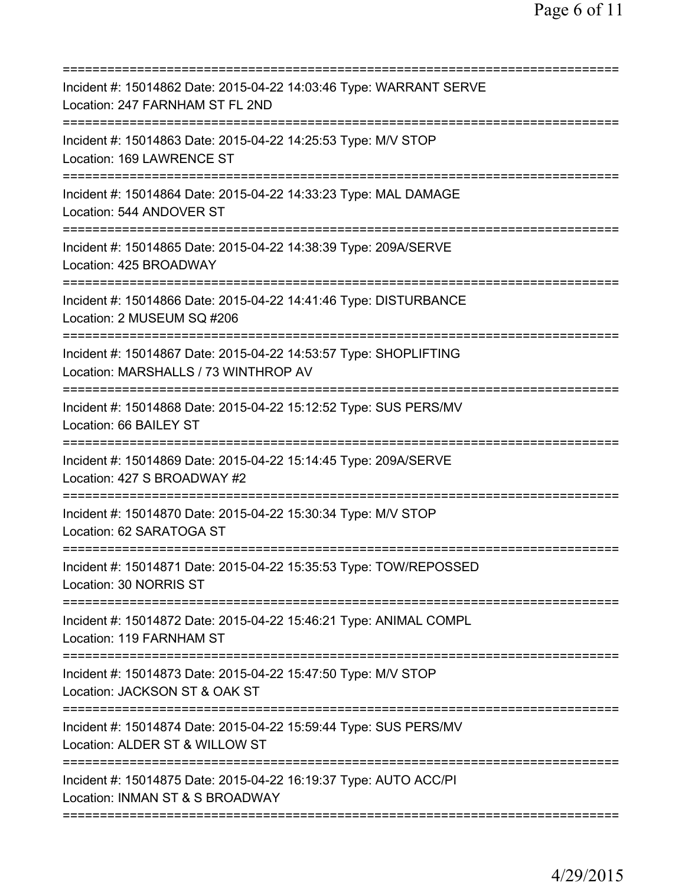| Incident #: 15014862 Date: 2015-04-22 14:03:46 Type: WARRANT SERVE<br>Location: 247 FARNHAM ST FL 2ND                    |
|--------------------------------------------------------------------------------------------------------------------------|
| Incident #: 15014863 Date: 2015-04-22 14:25:53 Type: M/V STOP<br>Location: 169 LAWRENCE ST                               |
| Incident #: 15014864 Date: 2015-04-22 14:33:23 Type: MAL DAMAGE<br>Location: 544 ANDOVER ST                              |
| Incident #: 15014865 Date: 2015-04-22 14:38:39 Type: 209A/SERVE<br>Location: 425 BROADWAY                                |
| Incident #: 15014866 Date: 2015-04-22 14:41:46 Type: DISTURBANCE<br>Location: 2 MUSEUM SQ #206                           |
| ============<br>Incident #: 15014867 Date: 2015-04-22 14:53:57 Type: SHOPLIFTING<br>Location: MARSHALLS / 73 WINTHROP AV |
| Incident #: 15014868 Date: 2015-04-22 15:12:52 Type: SUS PERS/MV<br>Location: 66 BAILEY ST                               |
| Incident #: 15014869 Date: 2015-04-22 15:14:45 Type: 209A/SERVE<br>Location: 427 S BROADWAY #2<br>========               |
| Incident #: 15014870 Date: 2015-04-22 15:30:34 Type: M/V STOP<br>Location: 62 SARATOGA ST                                |
| Incident #: 15014871 Date: 2015-04-22 15:35:53 Type: TOW/REPOSSED<br>Location: 30 NORRIS ST                              |
| Incident #: 15014872 Date: 2015-04-22 15:46:21 Type: ANIMAL COMPL<br>Location: 119 FARNHAM ST                            |
| Incident #: 15014873 Date: 2015-04-22 15:47:50 Type: M/V STOP<br>Location: JACKSON ST & OAK ST                           |
| Incident #: 15014874 Date: 2015-04-22 15:59:44 Type: SUS PERS/MV<br>Location: ALDER ST & WILLOW ST                       |
| Incident #: 15014875 Date: 2015-04-22 16:19:37 Type: AUTO ACC/PI<br>Location: INMAN ST & S BROADWAY                      |
|                                                                                                                          |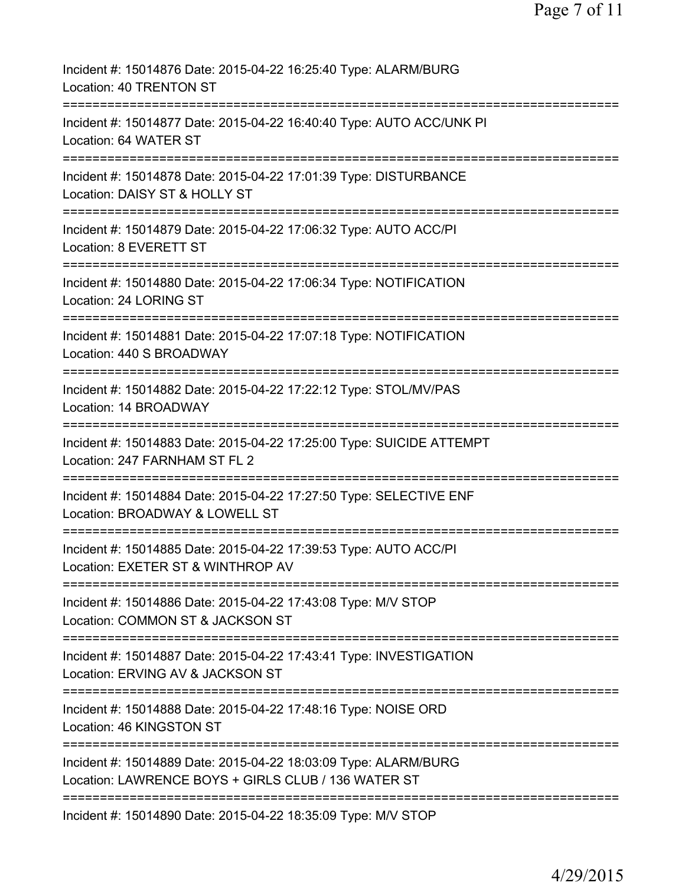| Incident #: 15014876 Date: 2015-04-22 16:25:40 Type: ALARM/BURG<br>Location: 40 TRENTON ST                                            |
|---------------------------------------------------------------------------------------------------------------------------------------|
| Incident #: 15014877 Date: 2015-04-22 16:40:40 Type: AUTO ACC/UNK PI<br>Location: 64 WATER ST                                         |
| Incident #: 15014878 Date: 2015-04-22 17:01:39 Type: DISTURBANCE<br>Location: DAISY ST & HOLLY ST                                     |
| Incident #: 15014879 Date: 2015-04-22 17:06:32 Type: AUTO ACC/PI<br>Location: 8 EVERETT ST                                            |
| Incident #: 15014880 Date: 2015-04-22 17:06:34 Type: NOTIFICATION<br>Location: 24 LORING ST                                           |
| Incident #: 15014881 Date: 2015-04-22 17:07:18 Type: NOTIFICATION<br>Location: 440 S BROADWAY                                         |
| Incident #: 15014882 Date: 2015-04-22 17:22:12 Type: STOL/MV/PAS<br>Location: 14 BROADWAY                                             |
| ===========<br>Incident #: 15014883 Date: 2015-04-22 17:25:00 Type: SUICIDE ATTEMPT<br>Location: 247 FARNHAM ST FL 2                  |
| -----------<br>Incident #: 15014884 Date: 2015-04-22 17:27:50 Type: SELECTIVE ENF<br>Location: BROADWAY & LOWELL ST                   |
| Incident #: 15014885 Date: 2015-04-22 17:39:53 Type: AUTO ACC/PI<br>Location: EXETER ST & WINTHROP AV                                 |
| Incident #: 15014886 Date: 2015-04-22 17:43:08 Type: M/V STOP<br>Location: COMMON ST & JACKSON ST                                     |
| Incident #: 15014887 Date: 2015-04-22 17:43:41 Type: INVESTIGATION<br>Location: ERVING AV & JACKSON ST<br>=========================== |
| Incident #: 15014888 Date: 2015-04-22 17:48:16 Type: NOISE ORD<br>Location: 46 KINGSTON ST                                            |
| Incident #: 15014889 Date: 2015-04-22 18:03:09 Type: ALARM/BURG<br>Location: LAWRENCE BOYS + GIRLS CLUB / 136 WATER ST                |
| Incident #: 15014890 Date: 2015-04-22 18:35:09 Type: M/V STOP                                                                         |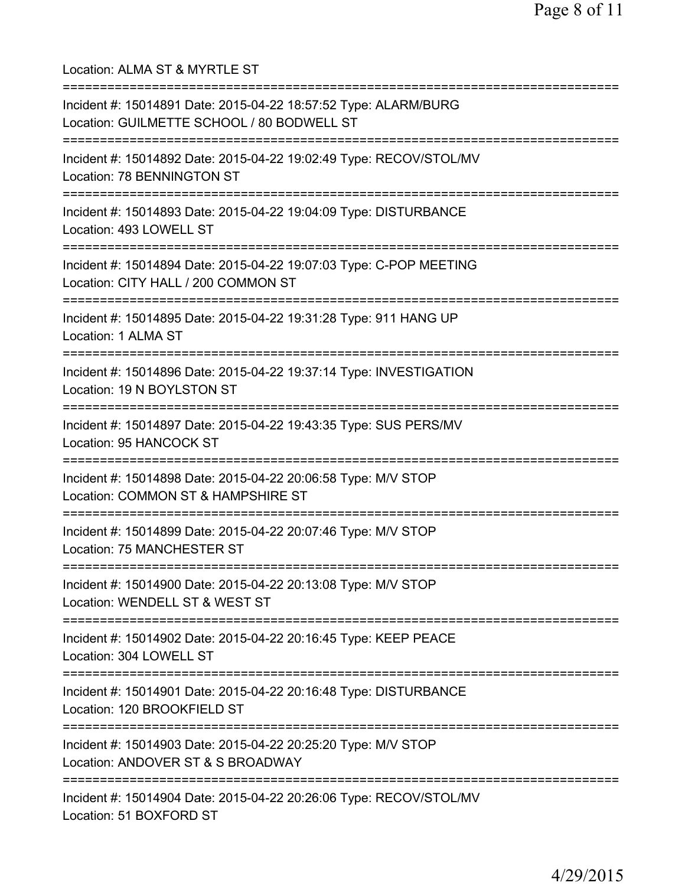Location: ALMA ST & MYRTLE ST =========================================================================== Incident #: 15014891 Date: 2015-04-22 18:57:52 Type: ALARM/BURG Location: GUILMETTE SCHOOL / 80 BODWELL ST =========================================================================== Incident #: 15014892 Date: 2015-04-22 19:02:49 Type: RECOV/STOL/MV Location: 78 BENNINGTON ST =========================================================================== Incident #: 15014893 Date: 2015-04-22 19:04:09 Type: DISTURBANCE Location: 493 LOWELL ST =========================================================================== Incident #: 15014894 Date: 2015-04-22 19:07:03 Type: C-POP MEETING Location: CITY HALL / 200 COMMON ST =========================================================================== Incident #: 15014895 Date: 2015-04-22 19:31:28 Type: 911 HANG UP Location: 1 ALMA ST =========================================================================== Incident #: 15014896 Date: 2015-04-22 19:37:14 Type: INVESTIGATION Location: 19 N BOYLSTON ST =========================================================================== Incident #: 15014897 Date: 2015-04-22 19:43:35 Type: SUS PERS/MV Location: 95 HANCOCK ST =========================================================================== Incident #: 15014898 Date: 2015-04-22 20:06:58 Type: M/V STOP Location: COMMON ST & HAMPSHIRE ST =========================================================================== Incident #: 15014899 Date: 2015-04-22 20:07:46 Type: M/V STOP Location: 75 MANCHESTER ST =========================================================================== Incident #: 15014900 Date: 2015-04-22 20:13:08 Type: M/V STOP Location: WENDELL ST & WEST ST =========================================================================== Incident #: 15014902 Date: 2015-04-22 20:16:45 Type: KEEP PEACE Location: 304 LOWELL ST =========================================================================== Incident #: 15014901 Date: 2015-04-22 20:16:48 Type: DISTURBANCE Location: 120 BROOKFIELD ST =========================================================================== Incident #: 15014903 Date: 2015-04-22 20:25:20 Type: M/V STOP Location: ANDOVER ST & S BROADWAY =========================================================================== Incident #: 15014904 Date: 2015-04-22 20:26:06 Type: RECOV/STOL/MV Location: 51 BOXFORD ST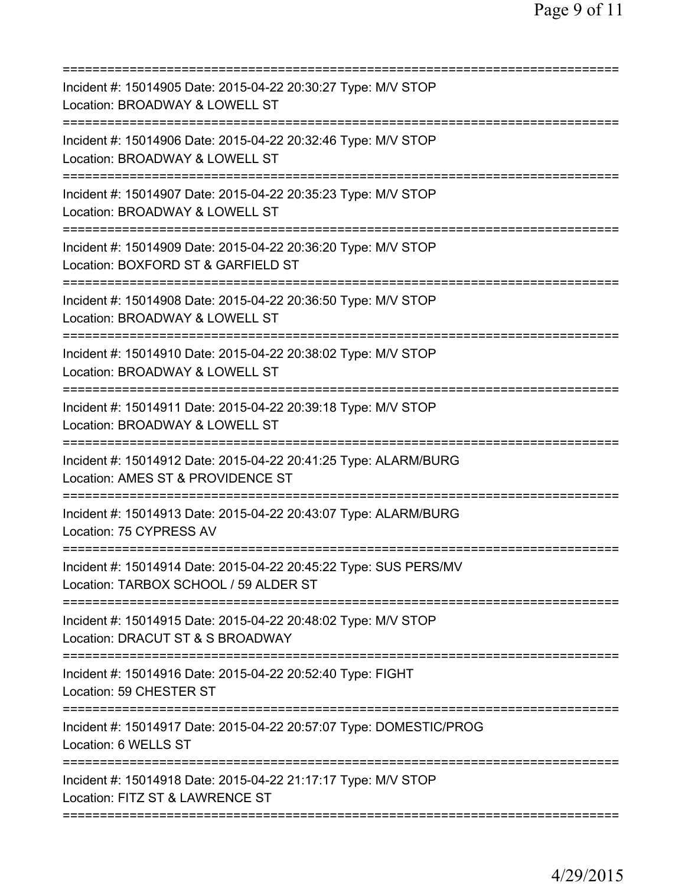| Incident #: 15014905 Date: 2015-04-22 20:30:27 Type: M/V STOP<br>Location: BROADWAY & LOWELL ST                              |
|------------------------------------------------------------------------------------------------------------------------------|
| Incident #: 15014906 Date: 2015-04-22 20:32:46 Type: M/V STOP<br>Location: BROADWAY & LOWELL ST                              |
| Incident #: 15014907 Date: 2015-04-22 20:35:23 Type: M/V STOP<br>Location: BROADWAY & LOWELL ST<br>==================        |
| Incident #: 15014909 Date: 2015-04-22 20:36:20 Type: M/V STOP<br>Location: BOXFORD ST & GARFIELD ST                          |
| Incident #: 15014908 Date: 2015-04-22 20:36:50 Type: M/V STOP<br>Location: BROADWAY & LOWELL ST                              |
| Incident #: 15014910 Date: 2015-04-22 20:38:02 Type: M/V STOP<br>Location: BROADWAY & LOWELL ST<br>========================= |
| Incident #: 15014911 Date: 2015-04-22 20:39:18 Type: M/V STOP<br>Location: BROADWAY & LOWELL ST<br>:======================== |
| Incident #: 15014912 Date: 2015-04-22 20:41:25 Type: ALARM/BURG<br>Location: AMES ST & PROVIDENCE ST                         |
| Incident #: 15014913 Date: 2015-04-22 20:43:07 Type: ALARM/BURG<br>Location: 75 CYPRESS AV                                   |
| Incident #: 15014914 Date: 2015-04-22 20:45:22 Type: SUS PERS/MV<br>Location: TARBOX SCHOOL / 59 ALDER ST                    |
| Incident #: 15014915 Date: 2015-04-22 20:48:02 Type: M/V STOP<br>Location: DRACUT ST & S BROADWAY                            |
| Incident #: 15014916 Date: 2015-04-22 20:52:40 Type: FIGHT<br>Location: 59 CHESTER ST                                        |
| Incident #: 15014917 Date: 2015-04-22 20:57:07 Type: DOMESTIC/PROG<br>Location: 6 WELLS ST                                   |
| Incident #: 15014918 Date: 2015-04-22 21:17:17 Type: M/V STOP<br>Location: FITZ ST & LAWRENCE ST                             |
|                                                                                                                              |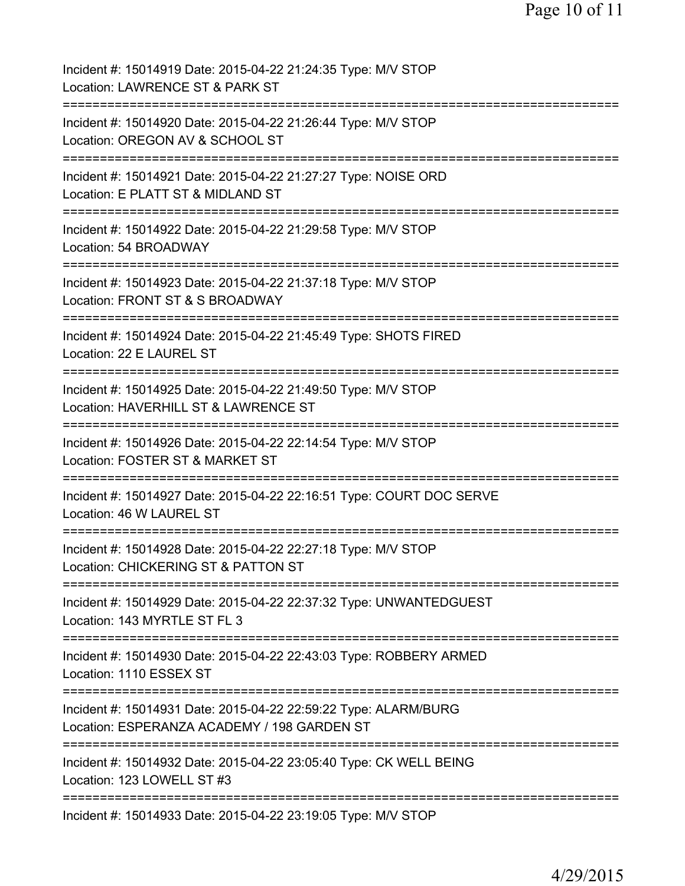| Incident #: 15014919 Date: 2015-04-22 21:24:35 Type: M/V STOP<br>Location: LAWRENCE ST & PARK ST                                       |
|----------------------------------------------------------------------------------------------------------------------------------------|
| ============================<br>Incident #: 15014920 Date: 2015-04-22 21:26:44 Type: M/V STOP<br>Location: OREGON AV & SCHOOL ST       |
| Incident #: 15014921 Date: 2015-04-22 21:27:27 Type: NOISE ORD<br>Location: E PLATT ST & MIDLAND ST                                    |
| Incident #: 15014922 Date: 2015-04-22 21:29:58 Type: M/V STOP<br>Location: 54 BROADWAY                                                 |
| Incident #: 15014923 Date: 2015-04-22 21:37:18 Type: M/V STOP<br>Location: FRONT ST & S BROADWAY                                       |
| Incident #: 15014924 Date: 2015-04-22 21:45:49 Type: SHOTS FIRED<br>Location: 22 E LAUREL ST                                           |
| Incident #: 15014925 Date: 2015-04-22 21:49:50 Type: M/V STOP<br>Location: HAVERHILL ST & LAWRENCE ST                                  |
| Incident #: 15014926 Date: 2015-04-22 22:14:54 Type: M/V STOP<br>Location: FOSTER ST & MARKET ST                                       |
| Incident #: 15014927 Date: 2015-04-22 22:16:51 Type: COURT DOC SERVE<br>Location: 46 W LAUREL ST                                       |
| Incident #: 15014928 Date: 2015-04-22 22:27:18 Type: M/V STOP<br>Location: CHICKERING ST & PATTON ST                                   |
| Incident #: 15014929 Date: 2015-04-22 22:37:32 Type: UNWANTEDGUEST<br>Location: 143 MYRTLE ST FL 3                                     |
| :====================================<br>Incident #: 15014930 Date: 2015-04-22 22:43:03 Type: ROBBERY ARMED<br>Location: 1110 ESSEX ST |
| Incident #: 15014931 Date: 2015-04-22 22:59:22 Type: ALARM/BURG<br>Location: ESPERANZA ACADEMY / 198 GARDEN ST                         |
| Incident #: 15014932 Date: 2015-04-22 23:05:40 Type: CK WELL BEING<br>Location: 123 LOWELL ST #3                                       |
| Incident #: 15014933 Date: 2015-04-22 23:19:05 Type: M/V STOP                                                                          |